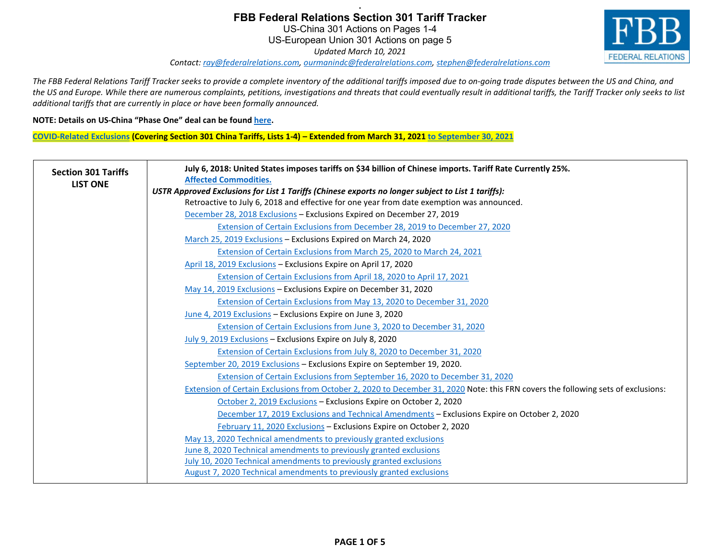# **. FBB Federal Relations Section 301 Tariff Tracker** US-China 301 Actions on Pages 1-4 US-European Union 301 Actions on page 5



*Updated March 10, 2021*

*Contact[: ray@federalrelations.com,](mailto:ray@federalrelations.com) [ourmanindc@federalrelations.com,](mailto:ourmanindc@federalrelations.com) [stephen@federalrelations.com](mailto:stephen@federalrelations.com)*

*The FBB Federal Relations Tariff Tracker seeks to provide a complete inventory of the additional tariffs imposed due to on-going trade disputes between the US and China, and the US and Europe. While there are numerous complaints, petitions, investigations and threats that could eventually result in additional tariffs, the Tariff Tracker only seeks to list additional tariffs that are currently in place or have been formally announced.*

#### **NOTE: Details on US-China "Phase One" deal can be foun[d here.](https://e1d8ced0-a056-4f76-8cf6-b4bfdcb2ef9f.filesusr.com/ugd/b6f6ef_68da1d4e54cf49eca678139a9ea4c92a.pdf)**

**[COVID-Related](https://ustr.gov/sites/default/files/enforcement/301Investigations/COVID_Extensions_December_2020.pdf) Exclusions (Covering Section 301 China Tariffs, Lists 1-4) – Extended from March 31, 2021 [to September 30, 2021](https://ustr.gov/sites/default/files/files/Press/Releases/COVID_Extensions_FRN_March_2021.pdf)**

| <b>Section 301 Tariffs</b> | July 6, 2018: United States imposes tariffs on \$34 billion of Chinese imports. Tariff Rate Currently 25%.<br><b>Affected Commodities.</b> |
|----------------------------|--------------------------------------------------------------------------------------------------------------------------------------------|
| <b>LIST ONE</b>            | USTR Approved Exclusions for List 1 Tariffs (Chinese exports no longer subject to List 1 tariffs):                                         |
|                            | Retroactive to July 6, 2018 and effective for one year from date exemption was announced.                                                  |
|                            | December 28, 2018 Exclusions - Exclusions Expired on December 27, 2019                                                                     |
|                            | Extension of Certain Exclusions from December 28, 2019 to December 27, 2020                                                                |
|                            | March 25, 2019 Exclusions - Exclusions Expired on March 24, 2020                                                                           |
|                            | Extension of Certain Exclusions from March 25, 2020 to March 24, 2021                                                                      |
|                            | April 18, 2019 Exclusions - Exclusions Expire on April 17, 2020                                                                            |
|                            | Extension of Certain Exclusions from April 18, 2020 to April 17, 2021                                                                      |
|                            | May 14, 2019 Exclusions - Exclusions Expire on December 31, 2020                                                                           |
|                            | Extension of Certain Exclusions from May 13, 2020 to December 31, 2020                                                                     |
|                            | June 4, 2019 Exclusions - Exclusions Expire on June 3, 2020                                                                                |
|                            | Extension of Certain Exclusions from June 3, 2020 to December 31, 2020                                                                     |
|                            | July 9, 2019 Exclusions - Exclusions Expire on July 8, 2020                                                                                |
|                            | Extension of Certain Exclusions from July 8, 2020 to December 31, 2020                                                                     |
|                            | September 20, 2019 Exclusions - Exclusions Expire on September 19, 2020.                                                                   |
|                            | Extension of Certain Exclusions from September 16, 2020 to December 31, 2020                                                               |
|                            | Extension of Certain Exclusions from October 2, 2020 to December 31, 2020 Note: this FRN covers the following sets of exclusions:          |
|                            | October 2, 2019 Exclusions - Exclusions Expire on October 2, 2020                                                                          |
|                            | December 17, 2019 Exclusions and Technical Amendments - Exclusions Expire on October 2, 2020                                               |
|                            | February 11, 2020 Exclusions - Exclusions Expire on October 2, 2020                                                                        |
|                            | May 13, 2020 Technical amendments to previously granted exclusions                                                                         |
|                            | June 8, 2020 Technical amendments to previously granted exclusions                                                                         |
|                            | July 10, 2020 Technical amendments to previously granted exclusions                                                                        |
|                            | <b>August 7, 2020 Technical amendments to previously granted exclusions</b>                                                                |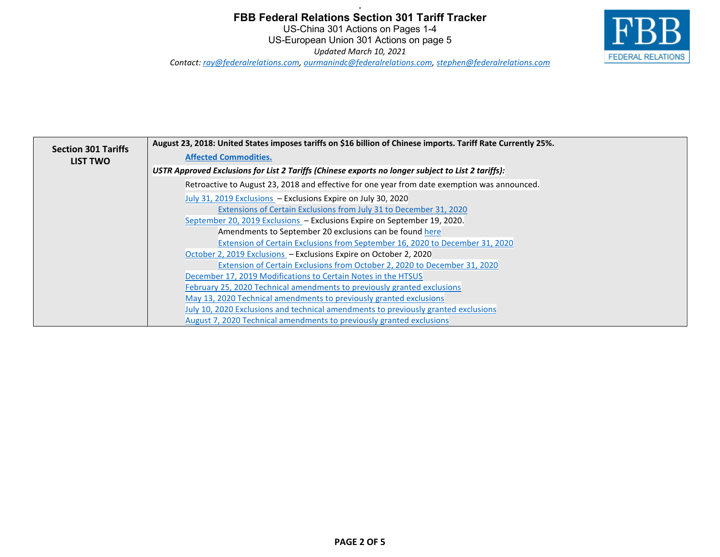## **FBB Federal Relations Section 301 Tariff Tracker** US-China 301 Actions on Pages 1-4 US-European Union 301 Actions on page 5 *Updated March 10, 2021 Contact[: ray@federalrelations.com,](mailto:ray@federalrelations.com) [ourmanindc@federalrelations.com,](mailto:ourmanindc@federalrelations.com) [stephen@federalrelations.com](mailto:stephen@federalrelations.com)*

**.**



| <b>Section 301 Tariffs</b> | August 23, 2018: United States imposes tariffs on \$16 billion of Chinese imports. Tariff Rate Currently 25%. |
|----------------------------|---------------------------------------------------------------------------------------------------------------|
| <b>LIST TWO</b>            | <b>Affected Commodities.</b>                                                                                  |
|                            | USTR Approved Exclusions for List 2 Tariffs (Chinese exports no longer subject to List 2 tariffs):            |
|                            | Retroactive to August 23, 2018 and effective for one year from date exemption was announced.                  |
|                            | July 31, 2019 Exclusions - Exclusions Expire on July 30, 2020                                                 |
|                            | Extensions of Certain Exclusions from July 31 to December 31, 2020                                            |
|                            | September 20, 2019 Exclusions - Exclusions Expire on September 19, 2020.                                      |
|                            | Amendments to September 20 exclusions can be found here                                                       |
|                            | Extension of Certain Exclusions from September 16, 2020 to December 31, 2020                                  |
|                            | October 2, 2019 Exclusions - Exclusions Expire on October 2, 2020                                             |
|                            | Extension of Certain Exclusions from October 2, 2020 to December 31, 2020                                     |
|                            | December 17, 2019 Modifications to Certain Notes in the HTSUS                                                 |
|                            | February 25, 2020 Technical amendments to previously granted exclusions                                       |
|                            | May 13, 2020 Technical amendments to previously granted exclusions                                            |
|                            | July 10, 2020 Exclusions and technical amendments to previously granted exclusions                            |
|                            | August 7, 2020 Technical amendments to previously granted exclusions                                          |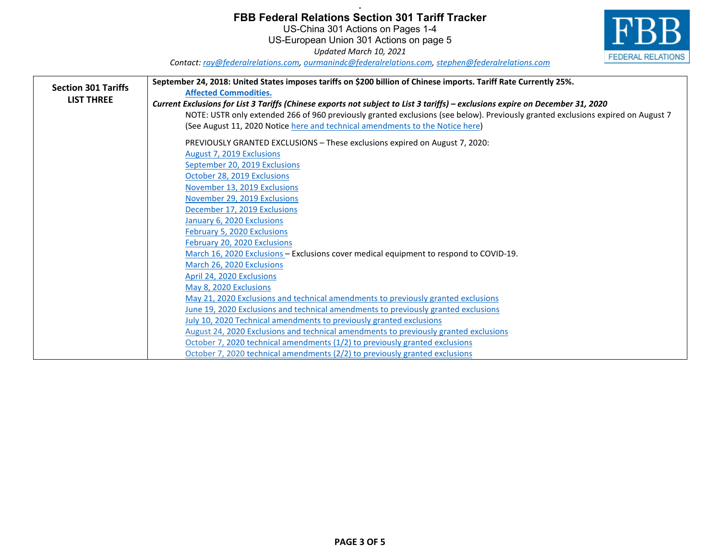### **. FBB Federal Relations Section 301 Tariff Tracker**

US-China 301 Actions on Pages 1-4 US-European Union 301 Actions on page 5

*Updated March 10, 2021*



*Contact[: ray@federalrelations.com,](mailto:ray@federalrelations.com) [ourmanindc@federalrelations.com,](mailto:ourmanindc@federalrelations.com) [stephen@federalrelations.com](mailto:stephen@federalrelations.com)*

|                            | September 24, 2018: United States imposes tariffs on \$200 billion of Chinese imports. Tariff Rate Currently 25%.                |
|----------------------------|----------------------------------------------------------------------------------------------------------------------------------|
| <b>Section 301 Tariffs</b> | <b>Affected Commodities.</b>                                                                                                     |
| <b>LIST THREE</b>          | Current Exclusions for List 3 Tariffs (Chinese exports not subject to List 3 tariffs) – exclusions expire on December 31, 2020   |
|                            | NOTE: USTR only extended 266 of 960 previously granted exclusions (see below). Previously granted exclusions expired on August 7 |
|                            | (See August 11, 2020 Notice here and technical amendments to the Notice here)                                                    |
|                            | PREVIOUSLY GRANTED EXCLUSIONS - These exclusions expired on August 7, 2020:                                                      |
|                            | August 7, 2019 Exclusions                                                                                                        |
|                            | September 20, 2019 Exclusions                                                                                                    |
|                            | October 28, 2019 Exclusions                                                                                                      |
|                            | November 13, 2019 Exclusions                                                                                                     |
|                            | November 29, 2019 Exclusions                                                                                                     |
|                            | December 17, 2019 Exclusions                                                                                                     |
|                            | January 6, 2020 Exclusions                                                                                                       |
|                            | February 5, 2020 Exclusions                                                                                                      |
|                            | February 20, 2020 Exclusions                                                                                                     |
|                            | March 16, 2020 Exclusions - Exclusions cover medical equipment to respond to COVID-19.                                           |
|                            | March 26, 2020 Exclusions                                                                                                        |
|                            | April 24, 2020 Exclusions                                                                                                        |
|                            | May 8, 2020 Exclusions                                                                                                           |
|                            | May 21, 2020 Exclusions and technical amendments to previously granted exclusions                                                |
|                            | June 19, 2020 Exclusions and technical amendments to previously granted exclusions                                               |
|                            | July 10, 2020 Technical amendments to previously granted exclusions                                                              |
|                            | August 24, 2020 Exclusions and technical amendments to previously granted exclusions                                             |
|                            | October 7, 2020 technical amendments (1/2) to previously granted exclusions                                                      |
|                            | October 7, 2020 technical amendments (2/2) to previously granted exclusions                                                      |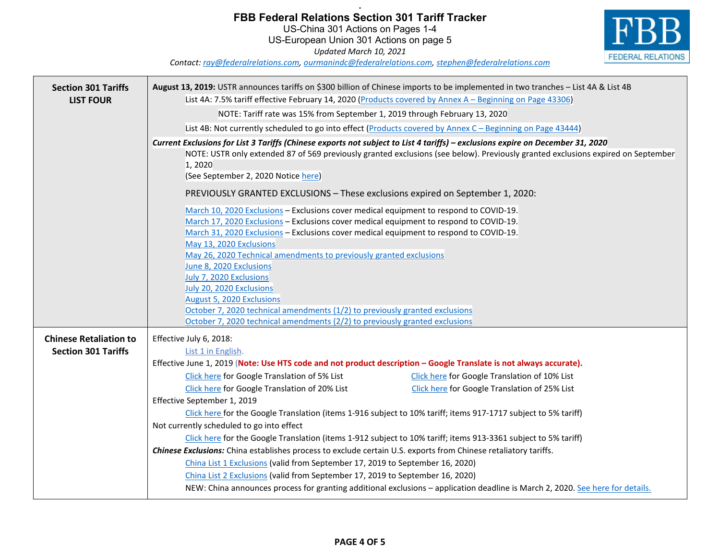### **. FBB Federal Relations Section 301 Tariff Tracker**

US-China 301 Actions on Pages 1-4 US-European Union 301 Actions on page 5 *Updated March 10, 2021*



*Contact[: ray@federalrelations.com,](mailto:ray@federalrelations.com) [ourmanindc@federalrelations.com,](mailto:ourmanindc@federalrelations.com) [stephen@federalrelations.com](mailto:stephen@federalrelations.com)*

| <b>Section 301 Tariffs</b>    | August 13, 2019: USTR announces tariffs on \$300 billion of Chinese imports to be implemented in two tranches - List 4A & List 4B                                                                                                                                                                                                                                                                                                                                                                                                                                                                                                                        |
|-------------------------------|----------------------------------------------------------------------------------------------------------------------------------------------------------------------------------------------------------------------------------------------------------------------------------------------------------------------------------------------------------------------------------------------------------------------------------------------------------------------------------------------------------------------------------------------------------------------------------------------------------------------------------------------------------|
| <b>LIST FOUR</b>              | List 4A: 7.5% tariff effective February 14, 2020 (Products covered by Annex A - Beginning on Page 43306)                                                                                                                                                                                                                                                                                                                                                                                                                                                                                                                                                 |
|                               | NOTE: Tariff rate was 15% from September 1, 2019 through February 13, 2020                                                                                                                                                                                                                                                                                                                                                                                                                                                                                                                                                                               |
|                               | List 4B: Not currently scheduled to go into effect (Products covered by Annex C - Beginning on Page 43444)                                                                                                                                                                                                                                                                                                                                                                                                                                                                                                                                               |
|                               | Current Exclusions for List 3 Tariffs (Chinese exports not subject to List 4 tariffs) - exclusions expire on December 31, 2020<br>NOTE: USTR only extended 87 of 569 previously granted exclusions (see below). Previously granted exclusions expired on September<br>1, 2020<br>(See September 2, 2020 Notice here)                                                                                                                                                                                                                                                                                                                                     |
|                               | PREVIOUSLY GRANTED EXCLUSIONS - These exclusions expired on September 1, 2020:                                                                                                                                                                                                                                                                                                                                                                                                                                                                                                                                                                           |
|                               | March 10, 2020 Exclusions - Exclusions cover medical equipment to respond to COVID-19.<br>March 17, 2020 Exclusions - Exclusions cover medical equipment to respond to COVID-19.<br>March 31, 2020 Exclusions - Exclusions cover medical equipment to respond to COVID-19.<br>May 13, 2020 Exclusions<br>May 26, 2020 Technical amendments to previously granted exclusions<br>June 8, 2020 Exclusions<br>July 7, 2020 Exclusions<br>July 20, 2020 Exclusions<br>August 5, 2020 Exclusions<br>October 7, 2020 technical amendments (1/2) to previously granted exclusions<br>October 7, 2020 technical amendments (2/2) to previously granted exclusions |
| <b>Chinese Retaliation to</b> | Effective July 6, 2018:                                                                                                                                                                                                                                                                                                                                                                                                                                                                                                                                                                                                                                  |
| <b>Section 301 Tariffs</b>    | List 1 in English.                                                                                                                                                                                                                                                                                                                                                                                                                                                                                                                                                                                                                                       |
|                               | Effective June 1, 2019 (Note: Use HTS code and not product description - Google Translate is not always accurate).                                                                                                                                                                                                                                                                                                                                                                                                                                                                                                                                       |
|                               | Click here for Google Translation of 5% List<br>Click here for Google Translation of 10% List                                                                                                                                                                                                                                                                                                                                                                                                                                                                                                                                                            |
|                               | Click here for Google Translation of 20% List<br>Click here for Google Translation of 25% List                                                                                                                                                                                                                                                                                                                                                                                                                                                                                                                                                           |
|                               | Effective September 1, 2019                                                                                                                                                                                                                                                                                                                                                                                                                                                                                                                                                                                                                              |
|                               | Click here for the Google Translation (items 1-916 subject to 10% tariff; items 917-1717 subject to 5% tariff)<br>Not currently scheduled to go into effect                                                                                                                                                                                                                                                                                                                                                                                                                                                                                              |
|                               | Click here for the Google Translation (items 1-912 subject to 10% tariff; items 913-3361 subject to 5% tariff)                                                                                                                                                                                                                                                                                                                                                                                                                                                                                                                                           |
|                               | Chinese Exclusions: China establishes process to exclude certain U.S. exports from Chinese retaliatory tariffs.                                                                                                                                                                                                                                                                                                                                                                                                                                                                                                                                          |
|                               | China List 1 Exclusions (valid from September 17, 2019 to September 16, 2020)                                                                                                                                                                                                                                                                                                                                                                                                                                                                                                                                                                            |
|                               | China List 2 Exclusions (valid from September 17, 2019 to September 16, 2020)                                                                                                                                                                                                                                                                                                                                                                                                                                                                                                                                                                            |
|                               | NEW: China announces process for granting additional exclusions - application deadline is March 2, 2020. See here for details.                                                                                                                                                                                                                                                                                                                                                                                                                                                                                                                           |